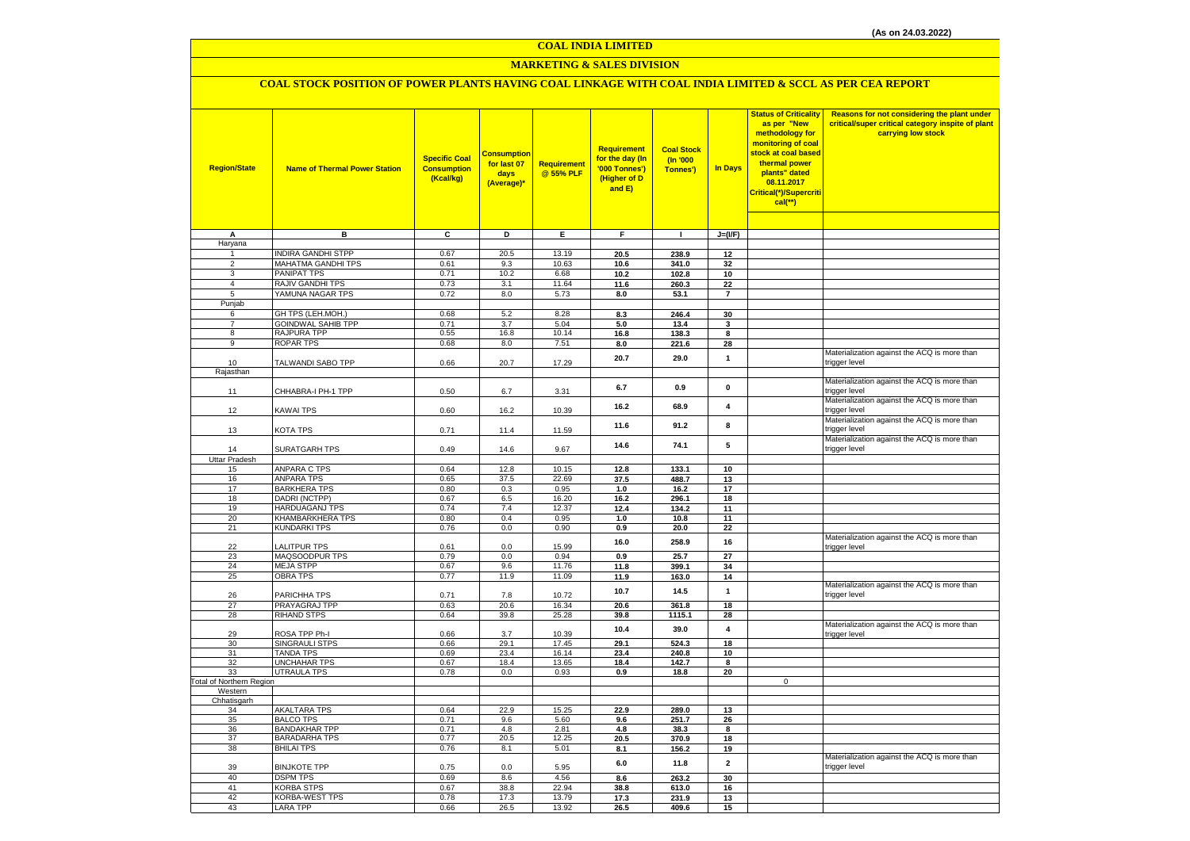#### **COAL INDIA LIMITED**

## **MARKETING & SALES DIVISION**

## **COAL STOCK POSITION OF POWER PLANTS HAVING COAL LINKAGE WITH COAL INDIA LIMITED & SCCL AS PER CEA REPORT**

| <b>Region/State</b>             | <b>Name of Thermal Power Station</b>            | <b>Specific Coal</b><br><b>Consumption</b><br>(Kcal/kg) | <b>Consumption</b><br>for last 07<br>days<br>(Average)* | Requirement<br>@ 55% PLF | Requirement<br>for the day (In<br>'000 Tonnes')<br>(Higher of D<br>and E) | <b>Coal Stock</b><br>(In '000<br>Tonnes') | <b>In Days</b> | <b>Status of Criticality</b><br>as per "New<br>methodology for<br>monitoring of coal<br>stock at coal based<br>thermal power<br>plants" dated<br>08.11.2017<br>Critical(*)/Supercriti<br>$cal$ (**) | Reasons for not considering the plant under<br>critical/super critical category inspite of plant<br>carrying low stock |
|---------------------------------|-------------------------------------------------|---------------------------------------------------------|---------------------------------------------------------|--------------------------|---------------------------------------------------------------------------|-------------------------------------------|----------------|-----------------------------------------------------------------------------------------------------------------------------------------------------------------------------------------------------|------------------------------------------------------------------------------------------------------------------------|
|                                 |                                                 |                                                         |                                                         |                          |                                                                           |                                           |                |                                                                                                                                                                                                     |                                                                                                                        |
| Α                               | в                                               | $\overline{c}$                                          | Þ                                                       | Ε                        | F                                                                         | $\mathbf{I}$                              | $J=(I/F)$      |                                                                                                                                                                                                     |                                                                                                                        |
| Haryana<br>$\mathbf{1}$         | <b>INDIRA GANDHI STPP</b>                       | 0.67                                                    | 20.5                                                    | 13.19                    | 20.5                                                                      | 238.9                                     | 12             |                                                                                                                                                                                                     |                                                                                                                        |
| $\overline{2}$                  | MAHATMA GANDHI TPS                              | 0.61                                                    | 9.3                                                     | 10.63                    | 10.6                                                                      | 341.0                                     | 32             |                                                                                                                                                                                                     |                                                                                                                        |
| 3                               | <b>PANIPAT TPS</b>                              | 0.71                                                    | 10.2                                                    | 6.68                     | 10.2                                                                      | 102.8                                     | 10             |                                                                                                                                                                                                     |                                                                                                                        |
| $\overline{4}$                  | RAJIV GANDHI TPS                                | 0.73                                                    | 3.1                                                     | 11.64                    | 11.6                                                                      | 260.3                                     | 22             |                                                                                                                                                                                                     |                                                                                                                        |
| 5                               | YAMUNA NAGAR TPS                                | 0.72                                                    | 8.0                                                     | 5.73                     | 8.0                                                                       | 53.1                                      | $\overline{7}$ |                                                                                                                                                                                                     |                                                                                                                        |
| Punjab                          |                                                 |                                                         |                                                         |                          |                                                                           |                                           |                |                                                                                                                                                                                                     |                                                                                                                        |
| 6                               | GH TPS (LEH.MOH.)                               | 0.68                                                    | 5.2                                                     | 8.28                     | 8.3                                                                       | 246.4                                     | 30             |                                                                                                                                                                                                     |                                                                                                                        |
| $\overline{7}$<br>8             | <b>GOINDWAL SAHIB TPP</b><br><b>RAJPURA TPP</b> | 0.71<br>0.55                                            | 3.7<br>16.8                                             | 5.04<br>10.14            | 5.0<br>16.8                                                               | 13.4<br>138.3                             | 3<br>8         |                                                                                                                                                                                                     |                                                                                                                        |
| 9                               | <b>ROPAR TPS</b>                                | 0.68                                                    | 8.0                                                     | 7.51                     | 8.0                                                                       | 221.6                                     | 28             |                                                                                                                                                                                                     |                                                                                                                        |
|                                 |                                                 |                                                         |                                                         |                          |                                                                           |                                           |                |                                                                                                                                                                                                     | Materialization against the ACQ is more than                                                                           |
| 10                              | TALWANDI SABO TPP                               | 0.66                                                    | 20.7                                                    | 17.29                    | 20.7                                                                      | 29.0                                      | $\mathbf{1}$   |                                                                                                                                                                                                     | trigger level                                                                                                          |
| Rajasthan                       |                                                 |                                                         |                                                         |                          |                                                                           |                                           |                |                                                                                                                                                                                                     |                                                                                                                        |
| 11                              | CHHABRA-I PH-1 TPP                              | 0.50                                                    | 6.7                                                     | 3.31                     | 6.7                                                                       | 0.9                                       | $\pmb{0}$      |                                                                                                                                                                                                     | Materialization against the ACQ is more than<br>trigger level                                                          |
| 12                              | <b>KAWAI TPS</b>                                | 0.60                                                    | 16.2                                                    | 10.39                    | 16.2                                                                      | 68.9                                      | 4              |                                                                                                                                                                                                     | Materialization against the ACQ is more than<br>trigger level                                                          |
| 13                              | <b>KOTA TPS</b>                                 | 0.71                                                    | 11.4                                                    | 11.59                    | 11.6                                                                      | 91.2                                      | 8              |                                                                                                                                                                                                     | Materialization against the ACQ is more than<br>trigger level                                                          |
| 14                              | SURATGARH TPS                                   | 0.49                                                    | 14.6                                                    | 9.67                     | 14.6                                                                      | 74.1                                      | 5              |                                                                                                                                                                                                     | Materialization against the ACQ is more than<br>trigger level                                                          |
| <b>Uttar Pradesh</b>            |                                                 | 0.64                                                    | 12.8                                                    | 10.15                    |                                                                           |                                           |                |                                                                                                                                                                                                     |                                                                                                                        |
| 15<br>16                        | <b>ANPARA C TPS</b><br><b>ANPARA TPS</b>        | 0.65                                                    | 37.5                                                    | 22.69                    | 12.8<br>37.5                                                              | 133.1<br>488.7                            | 10<br>13       |                                                                                                                                                                                                     |                                                                                                                        |
| 17                              | <b>BARKHERA TPS</b>                             | 0.80                                                    | 0.3                                                     | 0.95                     | 1.0                                                                       | 16.2                                      | 17             |                                                                                                                                                                                                     |                                                                                                                        |
| 18                              | DADRI (NCTPP)                                   | 0.67                                                    | 6.5                                                     | 16.20                    | 16.2                                                                      | 296.1                                     | 18             |                                                                                                                                                                                                     |                                                                                                                        |
| 19                              | <b>HARDUAGANJ TPS</b>                           | 0.74                                                    | 7.4                                                     | 12.37                    | 12.4                                                                      | 134.2                                     | 11             |                                                                                                                                                                                                     |                                                                                                                        |
| 20                              | KHAMBARKHERA TPS                                | 0.80                                                    | 0.4                                                     | 0.95                     | 1.0                                                                       | 10.8                                      | 11             |                                                                                                                                                                                                     |                                                                                                                        |
| 21                              | <b>KUNDARKI TPS</b>                             | 0.76                                                    | 0.0                                                     | 0.90                     | 0.9                                                                       | 20.0                                      | 22             |                                                                                                                                                                                                     |                                                                                                                        |
| 22                              | <b>ALITPUR TPS</b>                              | 0.61                                                    | 0.0                                                     | 15.99                    | 16.0                                                                      | 258.9                                     | 16             |                                                                                                                                                                                                     | Materialization against the ACQ is more than<br>trigger level                                                          |
| 23                              | MAQSOODPUR TPS                                  | 0.79                                                    | 0.0                                                     | 0.94                     | 0.9                                                                       | 25.7                                      | 27             |                                                                                                                                                                                                     |                                                                                                                        |
| 24<br>25                        | <b>MEJA STPP</b><br><b>OBRA TPS</b>             | 0.67<br>0.77                                            | 9.6<br>11.9                                             | 11.76<br>11.09           | 11.8<br>11.9                                                              | 399.1<br>163.0                            | 34<br>14       |                                                                                                                                                                                                     |                                                                                                                        |
|                                 |                                                 |                                                         |                                                         |                          |                                                                           |                                           |                |                                                                                                                                                                                                     | Materialization against the ACQ is more than                                                                           |
| 26                              | PARICHHA TPS                                    | 0.71                                                    | 7.8                                                     | 10.72                    | 10.7                                                                      | 14.5                                      | $\mathbf{1}$   |                                                                                                                                                                                                     | trigger level                                                                                                          |
| 27                              | PRAYAGRAJ TPP                                   | 0.63                                                    | 20.6                                                    | 16.34                    | 20.6                                                                      | 361.8                                     | 18             |                                                                                                                                                                                                     |                                                                                                                        |
| 28                              | <b>RIHAND STPS</b>                              | 0.64                                                    | 39.8                                                    | 25.28                    | 39.8                                                                      | 1115.1                                    | 28             |                                                                                                                                                                                                     |                                                                                                                        |
| 29                              | ROSA TPP Ph-I                                   | 0.66                                                    | 3.7                                                     | 10.39                    | 10.4                                                                      | 39.0                                      | 4              |                                                                                                                                                                                                     | Materialization against the ACQ is more than<br>trigger level                                                          |
| 30                              | SINGRAULI STPS                                  | 0.66                                                    | 29.1                                                    | 17.45                    | 29.1                                                                      | 524.3                                     | 18             |                                                                                                                                                                                                     |                                                                                                                        |
| 31                              | <b>TANDA TPS</b>                                | 0.69                                                    | 23.4                                                    | 16.14                    | 23.4                                                                      | 240.8                                     | 10             |                                                                                                                                                                                                     |                                                                                                                        |
| 32<br>33                        | <b>UNCHAHAR TPS</b><br><b>UTRAULA TPS</b>       | 0.67<br>0.78                                            | 18.4<br>0.0                                             | 13.65<br>0.93            | 18.4<br>0.9                                                               | 142.7<br>18.8                             | 8<br>20        |                                                                                                                                                                                                     |                                                                                                                        |
| <b>Total of Northern Region</b> |                                                 |                                                         |                                                         |                          |                                                                           |                                           |                | $\mathbf 0$                                                                                                                                                                                         |                                                                                                                        |
| Western                         |                                                 |                                                         |                                                         |                          |                                                                           |                                           |                |                                                                                                                                                                                                     |                                                                                                                        |
| Chhatisgarh                     |                                                 |                                                         |                                                         |                          |                                                                           |                                           |                |                                                                                                                                                                                                     |                                                                                                                        |
| 34                              | <b>AKALTARA TPS</b>                             | 0.64                                                    | 22.9                                                    | 15.25                    | 22.9                                                                      | 289.0                                     | 13             |                                                                                                                                                                                                     |                                                                                                                        |
| 35<br>36                        | <b>BALCO TPS</b><br><b>BANDAKHAR TPP</b>        | 0.71<br>0.71                                            | 9.6<br>4.8                                              | 5.60<br>2.81             | 9.6<br>4.8                                                                | 251.7<br>38.3                             | 26<br>8        |                                                                                                                                                                                                     |                                                                                                                        |
| 37                              | <b>BARADARHA TPS</b>                            | 0.77                                                    | 20.5                                                    | 12.25                    | 20.5                                                                      | 370.9                                     | 18             |                                                                                                                                                                                                     |                                                                                                                        |
| 38                              | <b>BHILAI TPS</b>                               | 0.76                                                    | 8.1                                                     | 5.01                     | 8.1                                                                       | 156.2                                     | 19             |                                                                                                                                                                                                     |                                                                                                                        |
| 39                              | <b>BINJKOTE TPP</b>                             | 0.75                                                    | 0.0                                                     | 5.95                     | 6.0                                                                       | 11.8                                      | $\overline{2}$ |                                                                                                                                                                                                     | Materialization against the ACQ is more than<br>trigger level                                                          |
| 40                              | <b>DSPM TPS</b>                                 | 0.69                                                    | 8.6                                                     | 4.56                     | 8.6                                                                       | 263.2                                     | 30             |                                                                                                                                                                                                     |                                                                                                                        |
| 41                              | <b>KORBA STPS</b>                               | 0.67                                                    | 38.8                                                    | 22.94                    | 38.8                                                                      | 613.0                                     | 16             |                                                                                                                                                                                                     |                                                                                                                        |
| 42                              | <b>KORBA-WEST TPS</b>                           | 0.78                                                    | 17.3                                                    | 13.79                    | 17.3                                                                      | 231.9                                     | 13             |                                                                                                                                                                                                     |                                                                                                                        |
| 43                              | <b>LARA TPP</b>                                 | 0.66                                                    | 26.5                                                    | 13.92                    | 26.5                                                                      | 409.6                                     | 15             |                                                                                                                                                                                                     |                                                                                                                        |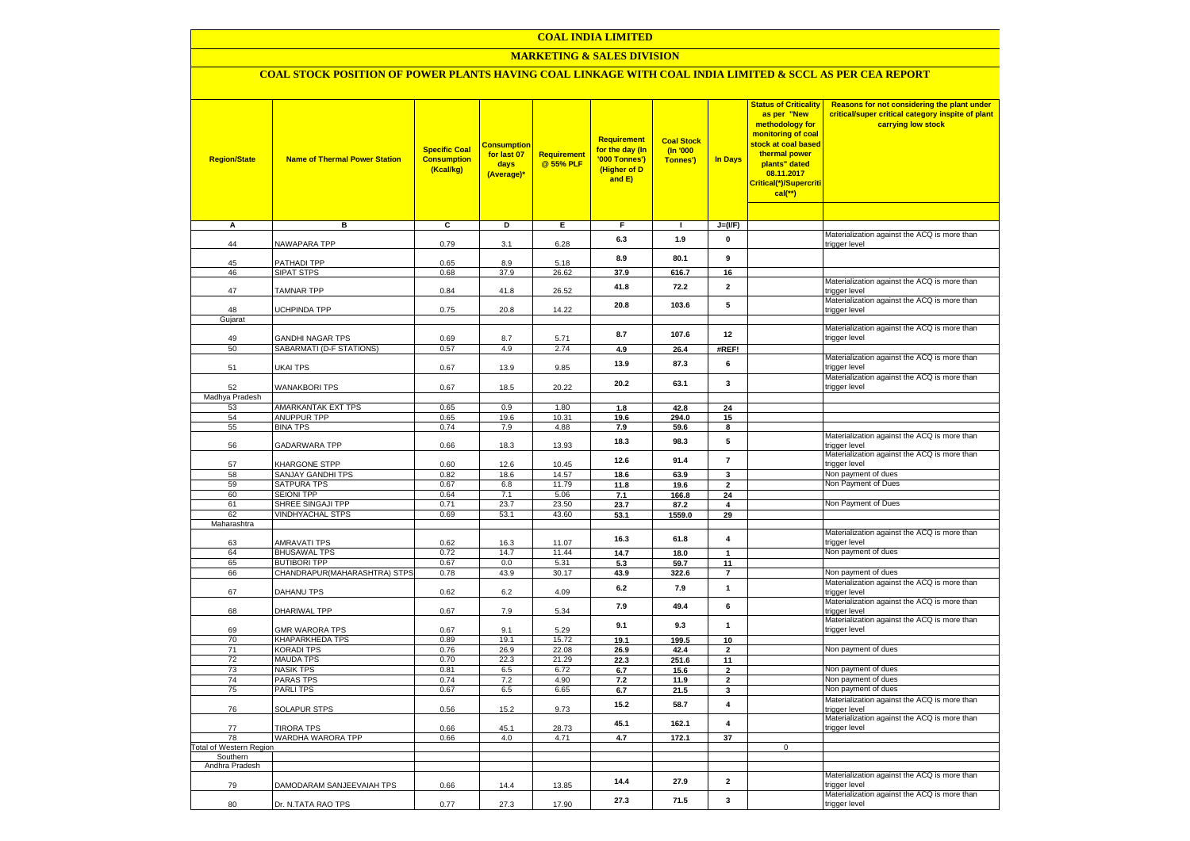#### **COAL INDIA LIMITED**

## **MARKETING & SALES DIVISION**

## **COAL STOCK POSITION OF POWER PLANTS HAVING COAL LINKAGE WITH COAL INDIA LIMITED & SCCL AS PER CEA REPORT**

| <b>Region/State</b>                        | <b>Name of Thermal Power Station</b>  | <b>Specific Coal</b><br><b>Consumption</b><br>(Kcal/kg) | <b>Consumption</b><br>for last 07<br>days<br>(Average)* | <b>Requirement</b><br>@ 55% PLF | Requirement<br>for the day (In<br>'000 Tonnes')<br>(Higher of D<br>and E) | <b>Coal Stock</b><br>$($ ln '000<br>Tonnes') | <b>In Days</b>           | <b>Status of Criticality</b><br>as per "New<br>methodology for<br>monitoring of coal<br>stock at coal based<br>thermal power<br>plants" dated<br>08.11.2017<br>Critical(*)/Supercriti<br>$cal$ (**) | Reasons for not considering the plant under<br>critical/super critical category inspite of plant<br>carrying low stock |
|--------------------------------------------|---------------------------------------|---------------------------------------------------------|---------------------------------------------------------|---------------------------------|---------------------------------------------------------------------------|----------------------------------------------|--------------------------|-----------------------------------------------------------------------------------------------------------------------------------------------------------------------------------------------------|------------------------------------------------------------------------------------------------------------------------|
|                                            |                                       |                                                         |                                                         |                                 |                                                                           |                                              |                          |                                                                                                                                                                                                     |                                                                                                                        |
| Α                                          | в                                     | c                                                       | Þ                                                       | Ε                               | F                                                                         | п.                                           | $J=(IVF)$                |                                                                                                                                                                                                     |                                                                                                                        |
| 44                                         | NAWAPARA TPP                          | 0.79                                                    | 3.1                                                     | 6.28                            | 6.3                                                                       | 1.9                                          | 0                        |                                                                                                                                                                                                     | Materialization against the ACQ is more than<br>trigger level                                                          |
| 45                                         | PATHADI TPP                           | 0.65                                                    | 8.9                                                     | 5.18                            | 8.9                                                                       | 80.1                                         | 9                        |                                                                                                                                                                                                     |                                                                                                                        |
| 46                                         | SIPAT STPS                            | 0.68                                                    | 37.9                                                    | 26.62                           | 37.9                                                                      | 616.7                                        | 16                       |                                                                                                                                                                                                     |                                                                                                                        |
| 47                                         | <b>TAMNAR TPP</b>                     | 0.84                                                    | 41.8                                                    | 26.52                           | 41.8                                                                      | 72.2                                         | $\overline{\mathbf{2}}$  |                                                                                                                                                                                                     | Materialization against the ACQ is more than<br>trigger level                                                          |
|                                            |                                       |                                                         |                                                         |                                 | 20.8                                                                      | 103.6                                        | 5                        |                                                                                                                                                                                                     | Materialization against the ACQ is more than                                                                           |
| 48<br>Gujarat                              | <b>UCHPINDA TPP</b>                   | 0.75                                                    | 20.8                                                    | 14.22                           |                                                                           |                                              |                          |                                                                                                                                                                                                     | trigger level                                                                                                          |
|                                            |                                       |                                                         |                                                         |                                 |                                                                           |                                              |                          |                                                                                                                                                                                                     | Materialization against the ACQ is more than                                                                           |
| 49                                         | <b>GANDHI NAGAR TPS</b>               | 0.69                                                    | 8.7                                                     | 5.71                            | 8.7                                                                       | 107.6                                        | 12                       |                                                                                                                                                                                                     | trigger level                                                                                                          |
| 50                                         | SABARMATI (D-F STATIONS)              | 0.57                                                    | 4.9                                                     | 2.74                            | 4.9                                                                       | 26.4                                         | #REF!                    |                                                                                                                                                                                                     |                                                                                                                        |
| 51                                         | UKAI TPS                              | 0.67                                                    | 13.9                                                    | 9.85                            | 13.9                                                                      | 87.3                                         | 6                        |                                                                                                                                                                                                     | Materialization against the ACQ is more than<br>trigger level                                                          |
| 52                                         | WANAKBORI TPS                         | 0.67                                                    | 18.5                                                    | 20.22                           | 20.2                                                                      | 63.1                                         | 3                        |                                                                                                                                                                                                     | Materialization against the ACQ is more than<br>trigger level                                                          |
| Madhya Pradesh                             |                                       |                                                         |                                                         |                                 |                                                                           |                                              |                          |                                                                                                                                                                                                     |                                                                                                                        |
| 53                                         | AMARKANTAK EXT TPS                    | 0.65                                                    | 0.9                                                     | 1.80                            | 1.8                                                                       | 42.8                                         | 24                       |                                                                                                                                                                                                     |                                                                                                                        |
| 54<br>55                                   | <b>ANUPPUR TPP</b><br><b>BINA TPS</b> | 0.65<br>0.74                                            | 19.6<br>7.9                                             | 10.31<br>4.88                   | 19.6<br>7.9                                                               | 294.0<br>59.6                                | 15<br>8                  |                                                                                                                                                                                                     |                                                                                                                        |
| 56                                         | GADARWARA TPP                         | 0.66                                                    | 18.3                                                    | 13.93                           | 18.3                                                                      | 98.3                                         | 5                        |                                                                                                                                                                                                     | Materialization against the ACQ is more than                                                                           |
|                                            |                                       |                                                         |                                                         |                                 | 12.6                                                                      | 91.4                                         | $\overline{\phantom{a}}$ |                                                                                                                                                                                                     | trigger level<br>Materialization against the ACQ is more than                                                          |
| 57<br>58                                   | KHARGONE STPP<br>SANJAY GANDHI TPS    | 0.60<br>0.82                                            | 12.6<br>18.6                                            | 10.45<br>14.57                  | 18.6                                                                      | 63.9                                         | $\mathbf{3}$             |                                                                                                                                                                                                     | trigger level<br>Non payment of dues                                                                                   |
| 59                                         | SATPURA TPS                           | 0.67                                                    | 6.8                                                     | 11.79                           | 11.8                                                                      | 19.6                                         | 2                        |                                                                                                                                                                                                     | Non Payment of Dues                                                                                                    |
| 60                                         | <b>SEIONI TPP</b>                     | 0.64                                                    | 7.1                                                     | 5.06                            | 7.1                                                                       | 166.8                                        | 24                       |                                                                                                                                                                                                     |                                                                                                                        |
| 61                                         | SHREE SINGAJI TPP                     | 0.71                                                    | 23.7                                                    | 23.50                           | 23.7                                                                      | 87.2                                         | $\overline{\mathbf{4}}$  |                                                                                                                                                                                                     | Non Payment of Dues                                                                                                    |
| 62                                         | <b>VINDHYACHAL STPS</b>               | 0.69                                                    | 53.1                                                    | 43.60                           | 53.1                                                                      | 1559.0                                       | 29                       |                                                                                                                                                                                                     |                                                                                                                        |
| Maharashtra                                |                                       |                                                         |                                                         |                                 |                                                                           |                                              |                          |                                                                                                                                                                                                     | Materialization against the ACQ is more than                                                                           |
| 63                                         | <b>AMRAVATI TPS</b>                   | 0.62                                                    | 16.3                                                    | 11.07                           | 16.3                                                                      | 61.8                                         | 4                        |                                                                                                                                                                                                     | trigger level                                                                                                          |
| 64                                         | <b>BHUSAWAL TPS</b>                   | 0.72                                                    | 14.7                                                    | 11.44                           | 14.7                                                                      | 18.0                                         | $\mathbf{1}$             |                                                                                                                                                                                                     | Non payment of dues                                                                                                    |
| 65                                         | <b>BUTIBORI TPP</b>                   | 0.67                                                    | 0.0                                                     | 5.31                            | 5.3                                                                       | 59.7                                         | 11                       |                                                                                                                                                                                                     |                                                                                                                        |
| 66                                         | CHANDRAPUR(MAHARASHTRA) STPS          | 0.78                                                    | 43.9                                                    | 30.17                           | 43.9                                                                      | 322.6                                        | $\overline{7}$           |                                                                                                                                                                                                     | Non payment of dues                                                                                                    |
| 67                                         | DAHANU TPS                            | 0.62                                                    | 6.2                                                     | 4.09                            | 6.2                                                                       | 7.9                                          | $\mathbf{1}$             |                                                                                                                                                                                                     | Materialization against the ACQ is more than<br>trigger level                                                          |
| 68                                         | DHARIWAL TPP                          | 0.67                                                    | 7.9                                                     | 5.34                            | 7.9                                                                       | 49.4                                         | 6                        |                                                                                                                                                                                                     | Materialization against the ACQ is more than<br>trigger level                                                          |
| 69                                         | <b>GMR WARORA TPS</b>                 | 0.67                                                    | 9.1                                                     | 5.29                            | 9.1                                                                       | 9.3                                          | $\mathbf{1}$             |                                                                                                                                                                                                     | Materialization against the ACQ is more than<br>trigger level                                                          |
| 70                                         | KHAPARKHEDA TPS                       | 0.89                                                    | 19.1                                                    | 15.72                           | 19.1                                                                      | 199.5                                        | 10                       |                                                                                                                                                                                                     |                                                                                                                        |
| 71                                         | <b>KORADI TPS</b>                     | 0.76                                                    | 26.9                                                    | 22.08                           | 26.9                                                                      | 42.4                                         | $\overline{\mathbf{2}}$  |                                                                                                                                                                                                     | Non payment of dues                                                                                                    |
| 72<br>73                                   | MAUDA TPS<br><b>NASIK TPS</b>         | 0.70<br>0.81                                            | 22.3<br>6.5                                             | 21.29<br>6.72                   | 22.3                                                                      | 251.6                                        | 11<br>$\overline{2}$     |                                                                                                                                                                                                     | Non payment of dues                                                                                                    |
| 74                                         | <b>PARAS TPS</b>                      | 0.74                                                    | 7.2                                                     | 4.90                            | 6.7<br>$\bf 7.2$                                                          | 15.6<br>11.9                                 | $\overline{2}$           |                                                                                                                                                                                                     | Non payment of dues                                                                                                    |
| 75                                         | <b>PARLITPS</b>                       | 0.67                                                    | 6.5                                                     | 6.65                            | 6.7                                                                       | 21.5                                         | 3                        |                                                                                                                                                                                                     | Non payment of dues                                                                                                    |
|                                            |                                       |                                                         |                                                         |                                 |                                                                           |                                              |                          |                                                                                                                                                                                                     | Materialization against the ACQ is more than                                                                           |
| 76                                         | <b>SOLAPUR STPS</b>                   | 0.56                                                    | 15.2                                                    | 9.73                            | 15.2                                                                      | 58.7                                         | $\overline{\mathbf{4}}$  |                                                                                                                                                                                                     | trigger level<br>Materialization against the ACQ is more than                                                          |
| 77                                         | <b>TIRORA TPS</b>                     | 0.66                                                    | 45.1                                                    | 28.73                           | 45.1                                                                      | 162.1                                        | $\overline{\mathbf{4}}$  |                                                                                                                                                                                                     | trigger level                                                                                                          |
| 78                                         | WARDHA WARORA TPP                     | 0.66                                                    | 4.0                                                     | 4.71                            | 4.7                                                                       | 172.1                                        | 37                       |                                                                                                                                                                                                     |                                                                                                                        |
| <b>Total of Western Region</b><br>Southern |                                       |                                                         |                                                         |                                 |                                                                           |                                              |                          | $\mathbf 0$                                                                                                                                                                                         |                                                                                                                        |
| Andhra Pradesh                             |                                       |                                                         |                                                         |                                 |                                                                           |                                              |                          |                                                                                                                                                                                                     |                                                                                                                        |
| 79                                         | DAMODARAM SANJEEVAIAH TPS             | 0.66                                                    | 14.4                                                    | 13.85                           | 14.4                                                                      | 27.9                                         | $\mathbf{2}$             |                                                                                                                                                                                                     | Materialization against the ACQ is more than<br>trigger level                                                          |
| 80                                         | Dr. N.TATA RAO TPS                    | 0.77                                                    | 27.3                                                    | 17.90                           | 27.3                                                                      | 71.5                                         | 3                        |                                                                                                                                                                                                     | Materialization against the ACQ is more than<br>trigger level                                                          |
|                                            |                                       |                                                         |                                                         |                                 |                                                                           |                                              |                          |                                                                                                                                                                                                     |                                                                                                                        |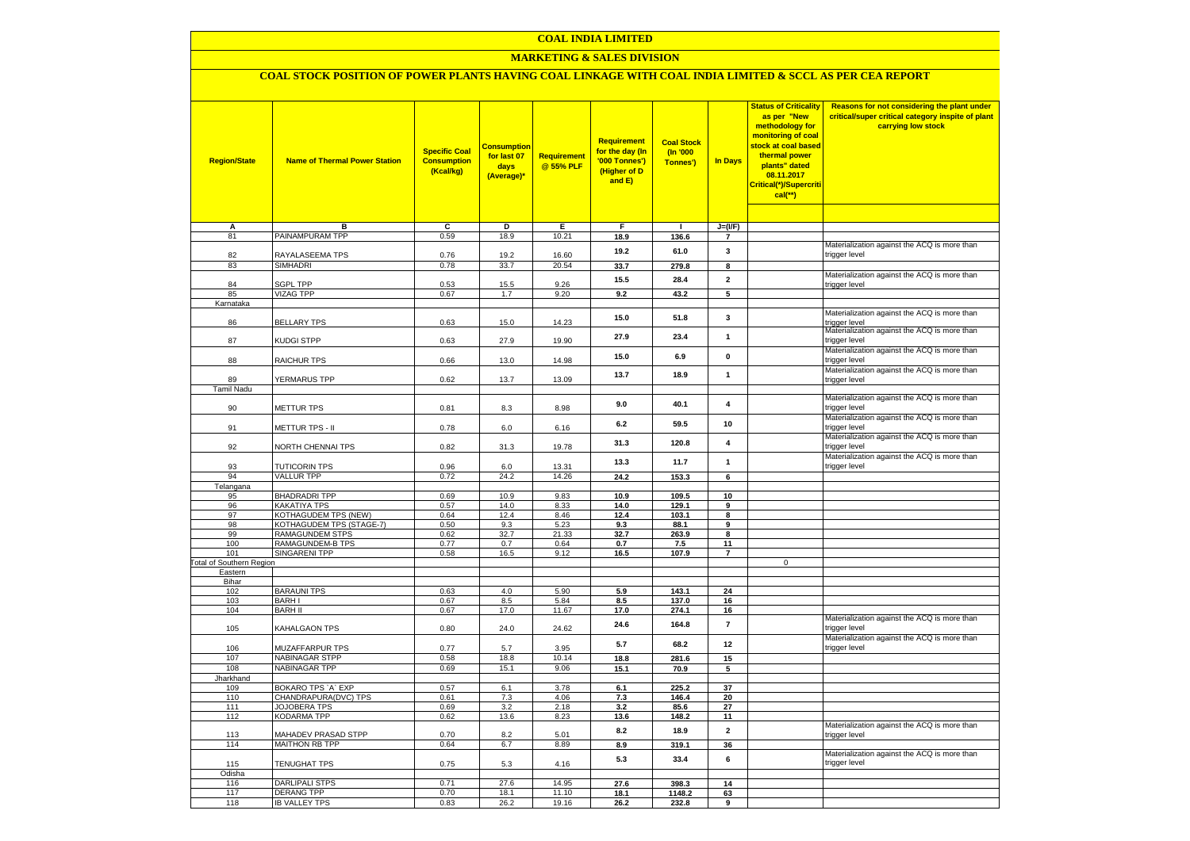## **COAL INDIA LIMITED**

## **MARKETING & SALES DIVISION**

# **COAL STOCK POSITION OF POWER PLANTS HAVING COAL LINKAGE WITH COAL INDIA LIMITED & SCCL AS PER CEA REPORT**

| <b>Region/State</b>             | <b>Name of Thermal Power Station</b>      | <b>Specific Coal</b><br><b>Consumption</b><br>(Kcal/kg) | <mark>Consumption</mark><br>for last 07<br>days<br>(Average)* | <b>Requirement</b><br>@ 55% PLF | <b>Requirement</b><br>for the day (In<br>'000 Tonnes')<br>(Higher of D<br>and E) | <b>Coal Stock</b><br>(In '000<br>Tonnes') | <b>In Days</b>                | <b>Status of Criticality</b><br>as per "New<br>methodology for<br>monitoring of coal<br>stock at coal based<br>thermal power<br>plants" dated<br>08.11.2017<br>Critical(*)/Supercriti<br>$cal$ (**) | Reasons for not considering the plant under<br>critical/super critical category inspite of plant<br>carrying low stock |
|---------------------------------|-------------------------------------------|---------------------------------------------------------|---------------------------------------------------------------|---------------------------------|----------------------------------------------------------------------------------|-------------------------------------------|-------------------------------|-----------------------------------------------------------------------------------------------------------------------------------------------------------------------------------------------------|------------------------------------------------------------------------------------------------------------------------|
|                                 |                                           |                                                         |                                                               |                                 |                                                                                  |                                           |                               |                                                                                                                                                                                                     |                                                                                                                        |
| А<br>81                         | в<br>PAINAMPURAM TPP                      | c<br>0.59                                               | D<br>18.9                                                     | Е<br>10.21                      | F<br>18.9                                                                        | $\mathbf{I}$<br>136.6                     | $J=(I/F)$<br>$\overline{7}$   |                                                                                                                                                                                                     |                                                                                                                        |
|                                 |                                           |                                                         |                                                               |                                 |                                                                                  |                                           |                               |                                                                                                                                                                                                     | Materialization against the ACQ is more than                                                                           |
| 82                              | RAYALASEEMA TPS                           | 0.76                                                    | 19.2                                                          | 16.60                           | 19.2                                                                             | 61.0                                      | $\mathbf{3}$                  |                                                                                                                                                                                                     | trigger level                                                                                                          |
| 83                              | <b>SIMHADRI</b>                           | 0.78                                                    | 33.7                                                          | 20.54                           | 33.7                                                                             | 279.8                                     | 8                             |                                                                                                                                                                                                     |                                                                                                                        |
| 84                              | <b>SGPL TPP</b>                           | 0.53                                                    | 15.5                                                          | 9.26                            | 15.5                                                                             | 28.4                                      | $\mathbf{2}$                  |                                                                                                                                                                                                     | Materialization against the ACQ is more than<br>trigger level                                                          |
| 85                              | <b>VIZAG TPP</b>                          | 0.67                                                    | 1.7                                                           | 9.20                            | 9.2                                                                              | 43.2                                      | 5                             |                                                                                                                                                                                                     |                                                                                                                        |
| Karnataka                       |                                           |                                                         |                                                               |                                 |                                                                                  |                                           |                               |                                                                                                                                                                                                     |                                                                                                                        |
|                                 |                                           |                                                         |                                                               |                                 | 15.0                                                                             | 51.8                                      | 3                             |                                                                                                                                                                                                     | Materialization against the ACQ is more than                                                                           |
| 86                              | <b>BELLARY TPS</b>                        | 0.63                                                    | 15.0                                                          | 14.23                           |                                                                                  |                                           |                               |                                                                                                                                                                                                     | trigger level                                                                                                          |
| 87                              | <b>KUDGI STPP</b>                         | 0.63                                                    | 27.9                                                          | 19.90                           | 27.9                                                                             | 23.4                                      | $\mathbf{1}$                  |                                                                                                                                                                                                     | Materialization against the ACQ is more than<br>trigger level                                                          |
|                                 |                                           |                                                         |                                                               |                                 |                                                                                  |                                           |                               |                                                                                                                                                                                                     | Materialization against the ACQ is more than                                                                           |
| 88                              | RAICHUR TPS                               | 0.66                                                    | 13.0                                                          | 14.98                           | 15.0                                                                             | 6.9                                       | $\mathbf 0$                   |                                                                                                                                                                                                     | trigger level                                                                                                          |
|                                 |                                           |                                                         |                                                               |                                 | 13.7                                                                             | 18.9                                      | $\mathbf{1}$                  |                                                                                                                                                                                                     | Materialization against the ACQ is more than                                                                           |
| 89                              | YERMARUS TPP                              | 0.62                                                    | 13.7                                                          | 13.09                           |                                                                                  |                                           |                               |                                                                                                                                                                                                     | trigger level                                                                                                          |
| Tamil Nadu                      |                                           |                                                         |                                                               |                                 |                                                                                  |                                           |                               |                                                                                                                                                                                                     |                                                                                                                        |
| 90                              | METTUR TPS                                | 0.81                                                    | 8.3                                                           | 8.98                            | 9.0                                                                              | 40.1                                      | 4                             |                                                                                                                                                                                                     | Materialization against the ACQ is more than<br>trigger level                                                          |
|                                 |                                           |                                                         |                                                               |                                 |                                                                                  |                                           |                               |                                                                                                                                                                                                     | Materialization against the ACQ is more than                                                                           |
| 91                              | METTUR TPS - II                           | 0.78                                                    | 6.0                                                           | 6.16                            | 6.2                                                                              | 59.5                                      | 10                            |                                                                                                                                                                                                     | trigger level                                                                                                          |
|                                 |                                           |                                                         |                                                               |                                 |                                                                                  |                                           |                               |                                                                                                                                                                                                     | Materialization against the ACQ is more than                                                                           |
| 92                              | NORTH CHENNAI TPS                         | 0.82                                                    | 31.3                                                          | 19.78                           | 31.3                                                                             | 120.8                                     | 4                             |                                                                                                                                                                                                     | trigger level                                                                                                          |
|                                 |                                           |                                                         |                                                               |                                 | 13.3                                                                             | 11.7                                      | $\mathbf{1}$                  |                                                                                                                                                                                                     | Materialization against the ACQ is more than                                                                           |
| 93<br>94                        | <b>TUTICORIN TPS</b><br><b>VALLUR TPP</b> | 0.96                                                    | 6.0                                                           | 13.31                           |                                                                                  |                                           |                               |                                                                                                                                                                                                     | trigger level                                                                                                          |
| Telangana                       |                                           | 0.72                                                    | 24.2                                                          | 14.26                           | 24.2                                                                             | 153.3                                     | 6                             |                                                                                                                                                                                                     |                                                                                                                        |
| 95                              | <b>BHADRADRI TPP</b>                      | 0.69                                                    | 10.9                                                          | 9.83                            | 10.9                                                                             | 109.5                                     | 10                            |                                                                                                                                                                                                     |                                                                                                                        |
| 96                              | KAKATIYA TPS                              | 0.57                                                    | 14.0                                                          | 8.33                            | 14.0                                                                             | 129.1                                     | 9                             |                                                                                                                                                                                                     |                                                                                                                        |
| 97                              | KOTHAGUDEM TPS (NEW)                      | 0.64                                                    | 12.4                                                          | 8.46                            | 12.4                                                                             | 103.1                                     | 8                             |                                                                                                                                                                                                     |                                                                                                                        |
| 98                              | KOTHAGUDEM TPS (STAGE-7)                  | 0.50                                                    | 9.3                                                           | 5.23                            | 9.3                                                                              | 88.1                                      | 9                             |                                                                                                                                                                                                     |                                                                                                                        |
| 99                              | RAMAGUNDEM STPS                           | 0.62                                                    | 32.7                                                          | 21.33                           | 32.7                                                                             | 263.9                                     | 8                             |                                                                                                                                                                                                     |                                                                                                                        |
| 100<br>101                      | RAMAGUNDEM-B TPS<br><b>SINGARENI TPP</b>  | 0.77<br>0.58                                            | 0.7<br>16.5                                                   | 0.64<br>9.12                    | 0.7<br>16.5                                                                      | 7.5<br>107.9                              | 11<br>$\overline{\mathbf{r}}$ |                                                                                                                                                                                                     |                                                                                                                        |
| <b>Total of Southern Region</b> |                                           |                                                         |                                                               |                                 |                                                                                  |                                           |                               | $\mathsf 0$                                                                                                                                                                                         |                                                                                                                        |
| Eastern                         |                                           |                                                         |                                                               |                                 |                                                                                  |                                           |                               |                                                                                                                                                                                                     |                                                                                                                        |
| Bihar                           |                                           |                                                         |                                                               |                                 |                                                                                  |                                           |                               |                                                                                                                                                                                                     |                                                                                                                        |
| 102                             | <b>BARAUNI TPS</b>                        | 0.63                                                    | 4.0                                                           | 5.90                            | 5.9                                                                              | 143.1                                     | 24                            |                                                                                                                                                                                                     |                                                                                                                        |
| 103                             | <b>BARHI</b><br><b>BARH II</b>            | 0.67                                                    | 8.5                                                           | 5.84                            | 8.5                                                                              | 137.0                                     | 16                            |                                                                                                                                                                                                     |                                                                                                                        |
| 104                             |                                           | 0.67                                                    | 17.0                                                          | 11.67                           | 17.0                                                                             | 274.1                                     | 16                            |                                                                                                                                                                                                     | Materialization against the ACQ is more than                                                                           |
| 105                             | KAHALGAON TPS                             | 0.80                                                    | 24.0                                                          | 24.62                           | 24.6                                                                             | 164.8                                     | $\overline{7}$                |                                                                                                                                                                                                     | trigger level                                                                                                          |
|                                 |                                           |                                                         |                                                               |                                 | 5.7                                                                              | 68.2                                      | 12                            |                                                                                                                                                                                                     | Materialization against the ACQ is more than                                                                           |
| 106                             | MUZAFFARPUR TPS                           | 0.77                                                    | 5.7                                                           | 3.95                            |                                                                                  |                                           |                               |                                                                                                                                                                                                     | trigger level                                                                                                          |
| 107                             | <b>NABINAGAR STPP</b>                     | 0.58                                                    | 18.8                                                          | 10.14                           | 18.8                                                                             | 281.6                                     | 15                            |                                                                                                                                                                                                     |                                                                                                                        |
| 108<br>Jharkhand                | <b>NABINAGAR TPP</b>                      | 0.69                                                    | 15.1                                                          | 9.06                            | 15.1                                                                             | 70.9                                      | 5                             |                                                                                                                                                                                                     |                                                                                                                        |
| 109                             | BOKARO TPS `A` EXP                        | 0.57                                                    | 6.1                                                           | 3.78                            | 6.1                                                                              | 225.2                                     | 37                            |                                                                                                                                                                                                     |                                                                                                                        |
| 110                             | CHANDRAPURA(DVC) TPS                      | 0.61                                                    | 7.3                                                           | 4.06                            | 7.3                                                                              | 146.4                                     | 20                            |                                                                                                                                                                                                     |                                                                                                                        |
| 111                             | JOJOBERA TPS                              | 0.69                                                    | 3.2                                                           | 2.18                            | 3.2                                                                              | 85.6                                      | 27                            |                                                                                                                                                                                                     |                                                                                                                        |
| 112                             | KODARMA TPP                               | 0.62                                                    | 13.6                                                          | 8.23                            | 13.6                                                                             | 148.2                                     | 11                            |                                                                                                                                                                                                     |                                                                                                                        |
| 113                             | MAHADEV PRASAD STPP                       | 0.70                                                    | 8.2                                                           |                                 | 8.2                                                                              | 18.9                                      | $\mathbf 2$                   |                                                                                                                                                                                                     | Materialization against the ACQ is more than                                                                           |
| 114                             | <b>MAITHON RB TPP</b>                     | 0.64                                                    | 6.7                                                           | 5.01<br>8.89                    | 8.9                                                                              | 319.1                                     | 36                            |                                                                                                                                                                                                     | trigger level                                                                                                          |
|                                 |                                           |                                                         |                                                               |                                 |                                                                                  |                                           |                               |                                                                                                                                                                                                     | Materialization against the ACQ is more than                                                                           |
| 115                             | <b>TENUGHAT TPS</b>                       | 0.75                                                    | 5.3                                                           | 4.16                            | 5.3                                                                              | 33.4                                      | 6                             |                                                                                                                                                                                                     | trigger level                                                                                                          |
| Odisha                          |                                           |                                                         |                                                               |                                 |                                                                                  |                                           |                               |                                                                                                                                                                                                     |                                                                                                                        |
| 116                             | <b>DARLIPALI STPS</b>                     | 0.71                                                    | 27.6                                                          | 14.95                           | 27.6                                                                             | 398.3                                     | 14                            |                                                                                                                                                                                                     |                                                                                                                        |
| 117<br>118                      | <b>DERANG TPP</b>                         | 0.70<br>0.83                                            | 18.1<br>26.2                                                  | 11.10<br>19.16                  | 18.1                                                                             | 1148.2                                    | 63                            |                                                                                                                                                                                                     |                                                                                                                        |
|                                 | <b>IB VALLEY TPS</b>                      |                                                         |                                                               |                                 | 26.2                                                                             | 232.8                                     | 9                             |                                                                                                                                                                                                     |                                                                                                                        |